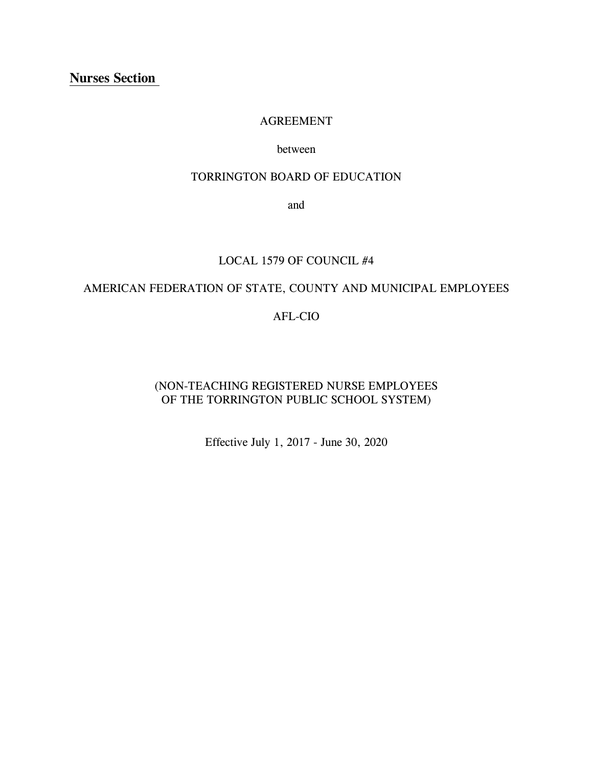# **Nurses Section**

#### AGREEMENT

#### between

### TORRINGTON BOARD OF EDUCATION

and

### LOCAL 1579 OF COUNCIL #4

# AMERICAN FEDERATION OF STATE, COUNTY AND MUNICIPAL EMPLOYEES

# AFL-CIO

# (NON-TEACHING REGISTERED NURSE EMPLOYEES OF THE TORRINGTON PUBLIC SCHOOL SYSTEM)

Effective July 1, 2017 - June 30, 2020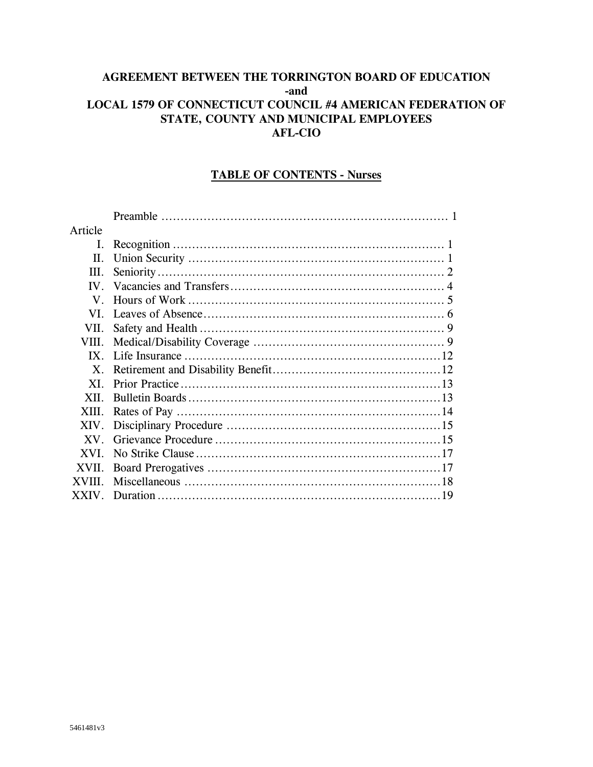# AGREEMENT BETWEEN THE TORRINGTON BOARD OF EDUCATION -and LOCAL 1579 OF CONNECTICUT COUNCIL #4 AMERICAN FEDERATION OF STATE, COUNTY AND MUNICIPAL EMPLOYEES **AFL-CIO**

### **TABLE OF CONTENTS - Nurses**

| Article                 |  |
|-------------------------|--|
| I.                      |  |
| II.                     |  |
| III.                    |  |
| $\mathbf{I} \mathbf{V}$ |  |
| $V_{\cdot}$             |  |
| VI.                     |  |
| VII.                    |  |
| VIII.                   |  |
| IX                      |  |
| $X$ .                   |  |
| XI.                     |  |
| XII.                    |  |
| XIII.                   |  |
| XIV.                    |  |
| XV.                     |  |
| XVI.                    |  |
| XVII.                   |  |
| <b>XVIII</b>            |  |
| <b>XXIV</b>             |  |
|                         |  |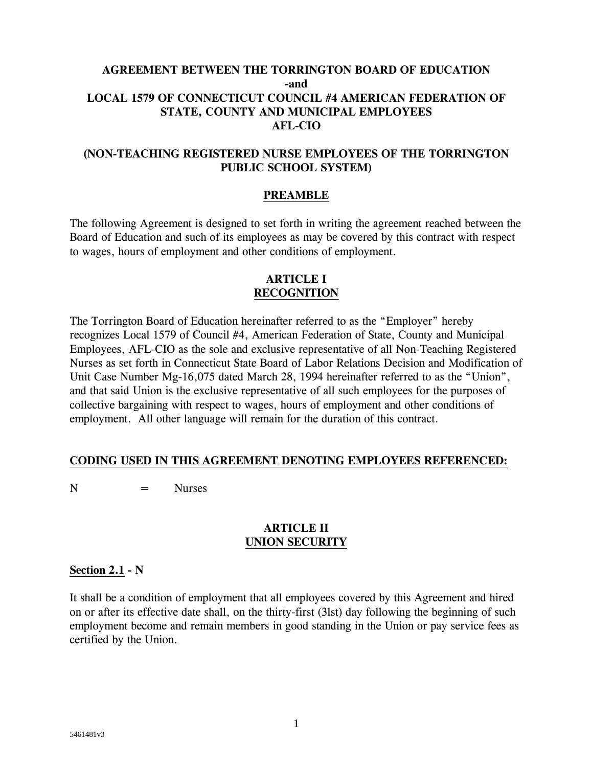# **AGREEMENT BETWEEN THE TORRINGTON BOARD OF EDUCATION -and LOCAL 1579 OF CONNECTICUT COUNCIL #4 AMERICAN FEDERATION OF STATE, COUNTY AND MUNICIPAL EMPLOYEES AFL-CIO**

# **(NON-TEACHING REGISTERED NURSE EMPLOYEES OF THE TORRINGTON PUBLIC SCHOOL SYSTEM)**

## **PREAMBLE**

The following Agreement is designed to set forth in writing the agreement reached between the Board of Education and such of its employees as may be covered by this contract with respect to wages, hours of employment and other conditions of employment.

### **ARTICLE I RECOGNITION**

The Torrington Board of Education hereinafter referred to as the "Employer" hereby recognizes Local 1579 of Council #4, American Federation of State, County and Municipal Employees, AFL-CIO as the sole and exclusive representative of all Non-Teaching Registered Nurses as set forth in Connecticut State Board of Labor Relations Decision and Modification of Unit Case Number Mg-16,075 dated March 28, 1994 hereinafter referred to as the "Union", and that said Union is the exclusive representative of all such employees for the purposes of collective bargaining with respect to wages, hours of employment and other conditions of employment. All other language will remain for the duration of this contract.

## **CODING USED IN THIS AGREEMENT DENOTING EMPLOYEES REFERENCED:**

 $N = Nures$ 

### **ARTICLE II UNION SECURITY**

### **Section 2.1 - N**

It shall be a condition of employment that all employees covered by this Agreement and hired on or after its effective date shall, on the thirty-first (3lst) day following the beginning of such employment become and remain members in good standing in the Union or pay service fees as certified by the Union.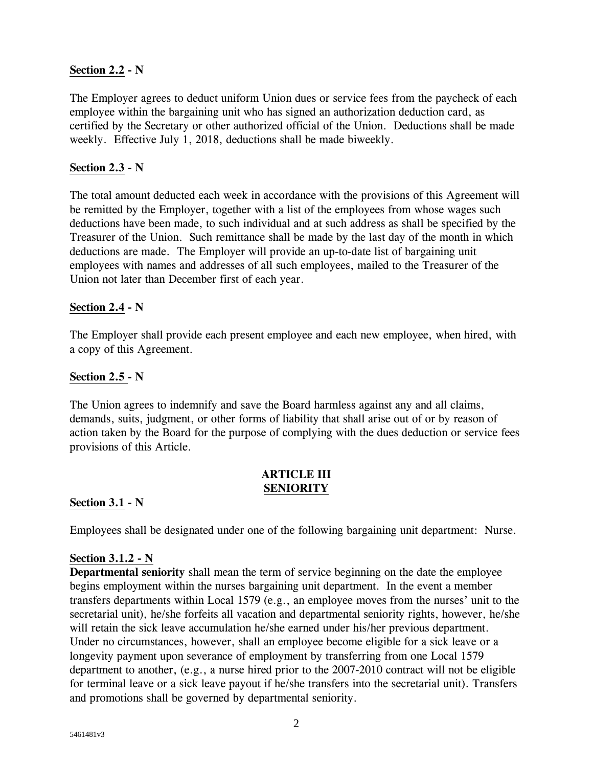# **Section 2.2 - N**

The Employer agrees to deduct uniform Union dues or service fees from the paycheck of each employee within the bargaining unit who has signed an authorization deduction card, as certified by the Secretary or other authorized official of the Union. Deductions shall be made weekly. Effective July 1, 2018, deductions shall be made biweekly.

# **Section 2.3 - N**

The total amount deducted each week in accordance with the provisions of this Agreement will be remitted by the Employer, together with a list of the employees from whose wages such deductions have been made, to such individual and at such address as shall be specified by the Treasurer of the Union. Such remittance shall be made by the last day of the month in which deductions are made. The Employer will provide an up-to-date list of bargaining unit employees with names and addresses of all such employees, mailed to the Treasurer of the Union not later than December first of each year.

## **Section 2.4 - N**

The Employer shall provide each present employee and each new employee, when hired, with a copy of this Agreement.

## **Section 2.5 - N**

The Union agrees to indemnify and save the Board harmless against any and all claims, demands, suits, judgment, or other forms of liability that shall arise out of or by reason of action taken by the Board for the purpose of complying with the dues deduction or service fees provisions of this Article.

## **ARTICLE III SENIORITY**

### **Section 3.1 - N**

Employees shall be designated under one of the following bargaining unit department: Nurse.

### **Section 3.1.2 - N**

**Departmental seniority** shall mean the term of service beginning on the date the employee begins employment within the nurses bargaining unit department. In the event a member transfers departments within Local 1579 (e.g., an employee moves from the nurses' unit to the secretarial unit), he/she forfeits all vacation and departmental seniority rights, however, he/she will retain the sick leave accumulation he/she earned under his/her previous department. Under no circumstances, however, shall an employee become eligible for a sick leave or a longevity payment upon severance of employment by transferring from one Local 1579 department to another, (e.g., a nurse hired prior to the 2007-2010 contract will not be eligible for terminal leave or a sick leave payout if he/she transfers into the secretarial unit). Transfers and promotions shall be governed by departmental seniority.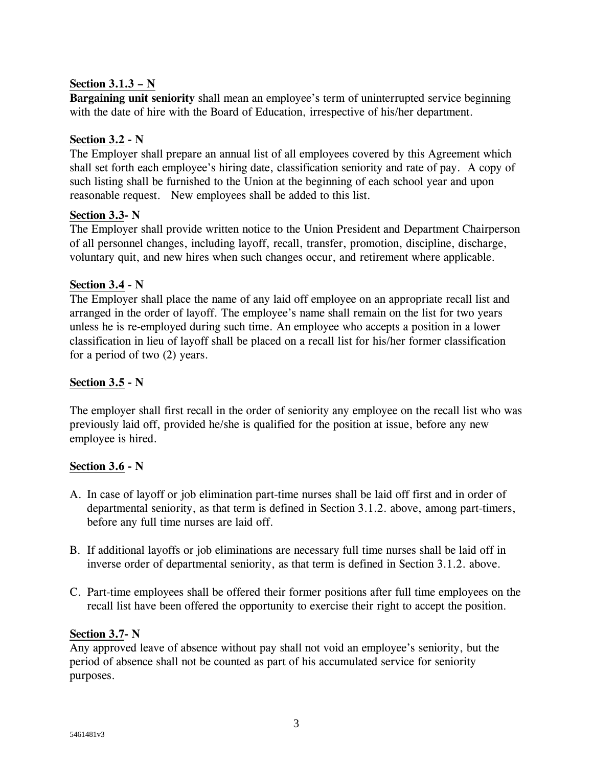# **Section 3.1.3 – N**

**Bargaining unit seniority** shall mean an employee's term of uninterrupted service beginning with the date of hire with the Board of Education, irrespective of his/her department.

# **Section 3.2 - N**

The Employer shall prepare an annual list of all employees covered by this Agreement which shall set forth each employee's hiring date, classification seniority and rate of pay. A copy of such listing shall be furnished to the Union at the beginning of each school year and upon reasonable request. New employees shall be added to this list.

## **Section 3.3- N**

The Employer shall provide written notice to the Union President and Department Chairperson of all personnel changes, including layoff, recall, transfer, promotion, discipline, discharge, voluntary quit, and new hires when such changes occur, and retirement where applicable.

# **Section 3.4 - N**

The Employer shall place the name of any laid off employee on an appropriate recall list and arranged in the order of layoff. The employee's name shall remain on the list for two years unless he is re-employed during such time. An employee who accepts a position in a lower classification in lieu of layoff shall be placed on a recall list for his/her former classification for a period of two (2) years.

# **Section 3.5 - N**

The employer shall first recall in the order of seniority any employee on the recall list who was previously laid off, provided he/she is qualified for the position at issue, before any new employee is hired.

## **Section 3.6 - N**

- A. In case of layoff or job elimination part-time nurses shall be laid off first and in order of departmental seniority, as that term is defined in Section 3.1.2. above, among part-timers, before any full time nurses are laid off.
- B. If additional layoffs or job eliminations are necessary full time nurses shall be laid off in inverse order of departmental seniority, as that term is defined in Section 3.1.2. above.
- C. Part-time employees shall be offered their former positions after full time employees on the recall list have been offered the opportunity to exercise their right to accept the position.

## **Section 3.7- N**

Any approved leave of absence without pay shall not void an employee's seniority, but the period of absence shall not be counted as part of his accumulated service for seniority purposes.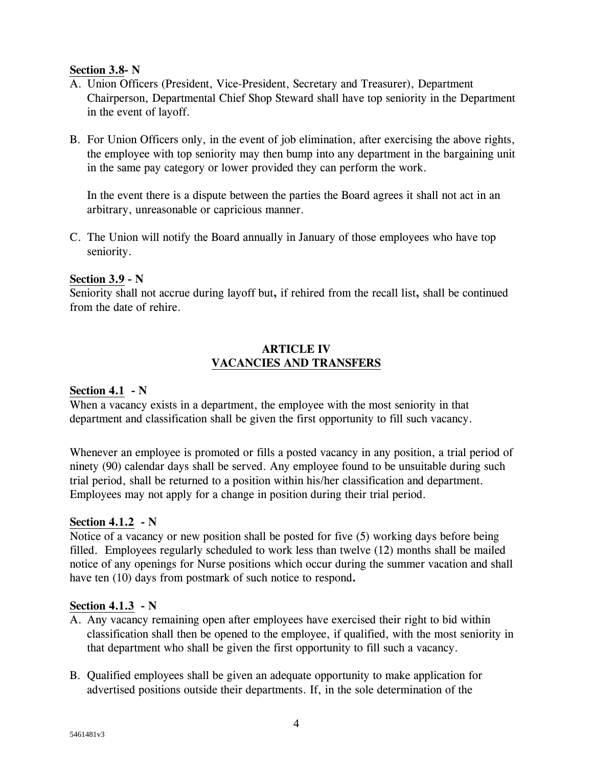### **Section 3.8- N**

- A. Union Officers (President, Vice-President, Secretary and Treasurer), Department Chairperson, Departmental Chief Shop Steward shall have top seniority in the Department in the event of layoff.
- B. For Union Officers only, in the event of job elimination, after exercising the above rights, the employee with top seniority may then bump into any department in the bargaining unit in the same pay category or lower provided they can perform the work.

In the event there is a dispute between the parties the Board agrees it shall not act in an arbitrary, unreasonable or capricious manner.

C. The Union will notify the Board annually in January of those employees who have top seniority.

## **Section 3.9 - N**

Seniority shall not accrue during layoff but**,** if rehired from the recall list**,** shall be continued from the date of rehire.

# **ARTICLE IV VACANCIES AND TRANSFERS**

# **Section 4.1 - N**

When a vacancy exists in a department, the employee with the most seniority in that department and classification shall be given the first opportunity to fill such vacancy.

Whenever an employee is promoted or fills a posted vacancy in any position, a trial period of ninety (90) calendar days shall be served. Any employee found to be unsuitable during such trial period, shall be returned to a position within his/her classification and department. Employees may not apply for a change in position during their trial period.

## **Section 4.1.2 - N**

Notice of a vacancy or new position shall be posted for five (5) working days before being filled. Employees regularly scheduled to work less than twelve (12) months shall be mailed notice of any openings for Nurse positions which occur during the summer vacation and shall have ten (10) days from postmark of such notice to respond**.**

## **Section 4.1.3 - N**

- A. Any vacancy remaining open after employees have exercised their right to bid within classification shall then be opened to the employee, if qualified, with the most seniority in that department who shall be given the first opportunity to fill such a vacancy.
- B. Qualified employees shall be given an adequate opportunity to make application for advertised positions outside their departments. If, in the sole determination of the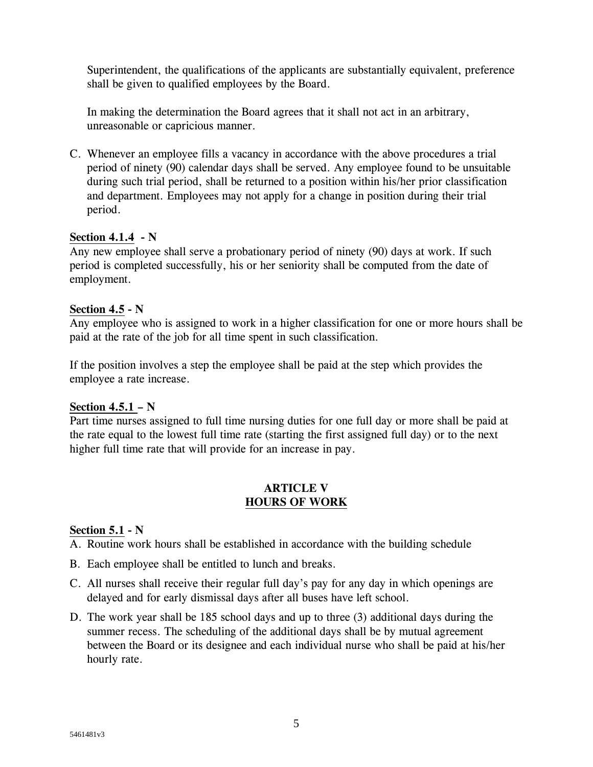Superintendent, the qualifications of the applicants are substantially equivalent, preference shall be given to qualified employees by the Board.

In making the determination the Board agrees that it shall not act in an arbitrary, unreasonable or capricious manner.

C. Whenever an employee fills a vacancy in accordance with the above procedures a trial period of ninety (90) calendar days shall be served. Any employee found to be unsuitable during such trial period, shall be returned to a position within his/her prior classification and department. Employees may not apply for a change in position during their trial period.

# **Section 4.1.4 - N**

Any new employee shall serve a probationary period of ninety (90) days at work. If such period is completed successfully, his or her seniority shall be computed from the date of employment.

## **Section 4.5 - N**

Any employee who is assigned to work in a higher classification for one or more hours shall be paid at the rate of the job for all time spent in such classification.

If the position involves a step the employee shall be paid at the step which provides the employee a rate increase.

## **Section 4.5.1 – N**

Part time nurses assigned to full time nursing duties for one full day or more shall be paid at the rate equal to the lowest full time rate (starting the first assigned full day) or to the next higher full time rate that will provide for an increase in pay.

## **ARTICLE V HOURS OF WORK**

## **Section 5.1 - N**

A. Routine work hours shall be established in accordance with the building schedule

- B. Each employee shall be entitled to lunch and breaks.
- C. All nurses shall receive their regular full day's pay for any day in which openings are delayed and for early dismissal days after all buses have left school.
- D. The work year shall be 185 school days and up to three (3) additional days during the summer recess. The scheduling of the additional days shall be by mutual agreement between the Board or its designee and each individual nurse who shall be paid at his/her hourly rate.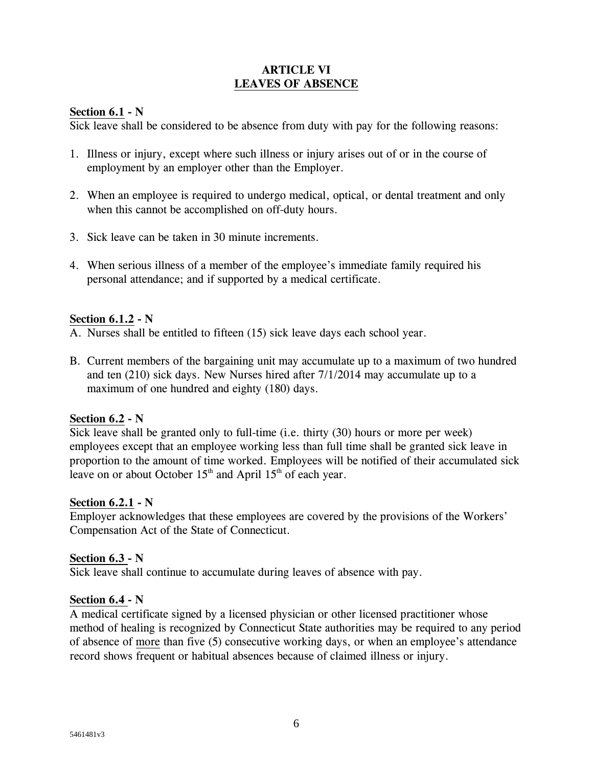## **ARTICLE VI LEAVES OF ABSENCE**

### **Section 6.1 - N**

Sick leave shall be considered to be absence from duty with pay for the following reasons:

- 1. Illness or injury, except where such illness or injury arises out of or in the course of employment by an employer other than the Employer.
- 2. When an employee is required to undergo medical, optical, or dental treatment and only when this cannot be accomplished on off-duty hours.
- 3. Sick leave can be taken in 30 minute increments.
- 4. When serious illness of a member of the employee's immediate family required his personal attendance; and if supported by a medical certificate.

### **Section 6.1.2 - N**

- A. Nurses shall be entitled to fifteen (15) sick leave days each school year.
- B. Current members of the bargaining unit may accumulate up to a maximum of two hundred and ten (210) sick days. New Nurses hired after 7/1/2014 may accumulate up to a maximum of one hundred and eighty (180) days.

## **Section 6.2 - N**

Sick leave shall be granted only to full-time (i.e. thirty (30) hours or more per week) employees except that an employee working less than full time shall be granted sick leave in proportion to the amount of time worked. Employees will be notified of their accumulated sick leave on or about October  $15<sup>th</sup>$  and April  $15<sup>th</sup>$  of each year.

### **Section 6.2.1 - N**

Employer acknowledges that these employees are covered by the provisions of the Workers' Compensation Act of the State of Connecticut.

## **Section 6.3 - N**

Sick leave shall continue to accumulate during leaves of absence with pay.

### **Section 6.4 - N**

A medical certificate signed by a licensed physician or other licensed practitioner whose method of healing is recognized by Connecticut State authorities may be required to any period of absence of more than five (5) consecutive working days, or when an employee's attendance record shows frequent or habitual absences because of claimed illness or injury.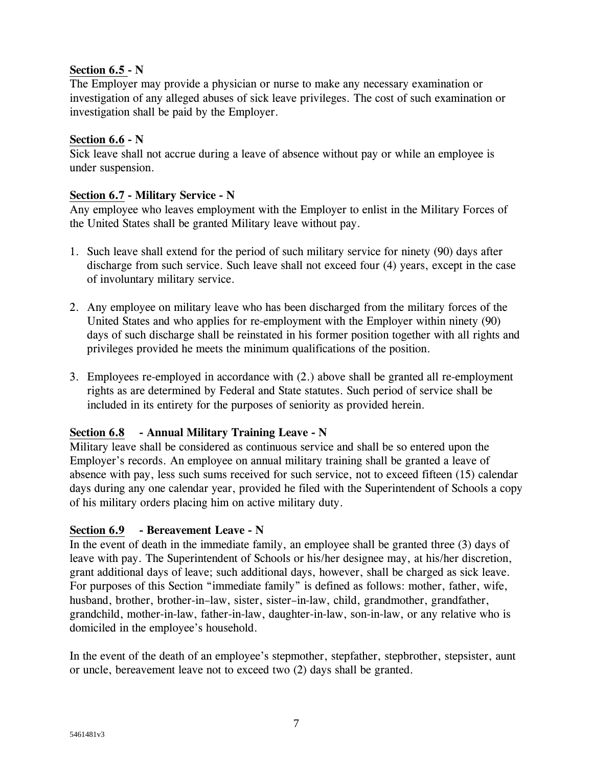# **Section 6.5 - N**

The Employer may provide a physician or nurse to make any necessary examination or investigation of any alleged abuses of sick leave privileges. The cost of such examination or investigation shall be paid by the Employer.

# **Section 6.6 - N**

Sick leave shall not accrue during a leave of absence without pay or while an employee is under suspension.

# **Section 6.7 - Military Service - N**

Any employee who leaves employment with the Employer to enlist in the Military Forces of the United States shall be granted Military leave without pay.

- 1. Such leave shall extend for the period of such military service for ninety (90) days after discharge from such service. Such leave shall not exceed four (4) years, except in the case of involuntary military service.
- 2. Any employee on military leave who has been discharged from the military forces of the United States and who applies for re-employment with the Employer within ninety (90) days of such discharge shall be reinstated in his former position together with all rights and privileges provided he meets the minimum qualifications of the position.
- 3. Employees re-employed in accordance with (2.) above shall be granted all re-employment rights as are determined by Federal and State statutes. Such period of service shall be included in its entirety for the purposes of seniority as provided herein.

# **Section 6.8 - Annual Military Training Leave - N**

Military leave shall be considered as continuous service and shall be so entered upon the Employer's records. An employee on annual military training shall be granted a leave of absence with pay, less such sums received for such service, not to exceed fifteen (15) calendar days during any one calendar year, provided he filed with the Superintendent of Schools a copy of his military orders placing him on active military duty.

# **Section 6.9 - Bereavement Leave - N**

In the event of death in the immediate family, an employee shall be granted three (3) days of leave with pay. The Superintendent of Schools or his/her designee may, at his/her discretion, grant additional days of leave; such additional days, however, shall be charged as sick leave. For purposes of this Section "immediate family" is defined as follows: mother, father, wife, husband, brother, brother-in–law, sister, sister–in-law, child, grandmother, grandfather, grandchild, mother-in-law, father-in-law, daughter-in-law, son-in-law, or any relative who is domiciled in the employee's household.

In the event of the death of an employee's stepmother, stepfather, stepbrother, stepsister, aunt or uncle, bereavement leave not to exceed two (2) days shall be granted.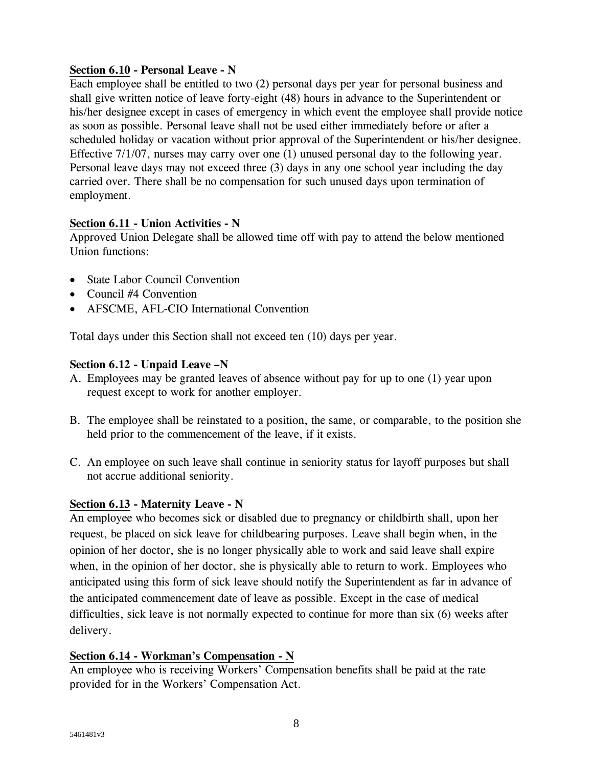# **Section 6.10 - Personal Leave - N**

Each employee shall be entitled to two (2) personal days per year for personal business and shall give written notice of leave forty-eight (48) hours in advance to the Superintendent or his/her designee except in cases of emergency in which event the employee shall provide notice as soon as possible. Personal leave shall not be used either immediately before or after a scheduled holiday or vacation without prior approval of the Superintendent or his/her designee. Effective 7/1/07, nurses may carry over one (1) unused personal day to the following year. Personal leave days may not exceed three (3) days in any one school year including the day carried over. There shall be no compensation for such unused days upon termination of employment.

## **Section 6.11 - Union Activities - N**

Approved Union Delegate shall be allowed time off with pay to attend the below mentioned Union functions:

- State Labor Council Convention
- Council #4 Convention
- AFSCME, AFL-CIO International Convention

Total days under this Section shall not exceed ten (10) days per year.

## **Section 6.12 - Unpaid Leave –N**

- A. Employees may be granted leaves of absence without pay for up to one (1) year upon request except to work for another employer.
- B. The employee shall be reinstated to a position, the same, or comparable, to the position she held prior to the commencement of the leave, if it exists.
- C. An employee on such leave shall continue in seniority status for layoff purposes but shall not accrue additional seniority.

## **Section 6.13 - Maternity Leave - N**

An employee who becomes sick or disabled due to pregnancy or childbirth shall, upon her request, be placed on sick leave for childbearing purposes. Leave shall begin when, in the opinion of her doctor, she is no longer physically able to work and said leave shall expire when, in the opinion of her doctor, she is physically able to return to work. Employees who anticipated using this form of sick leave should notify the Superintendent as far in advance of the anticipated commencement date of leave as possible. Except in the case of medical difficulties, sick leave is not normally expected to continue for more than six (6) weeks after delivery.

## **Section 6.14 - Workman's Compensation - N**

An employee who is receiving Workers' Compensation benefits shall be paid at the rate provided for in the Workers' Compensation Act.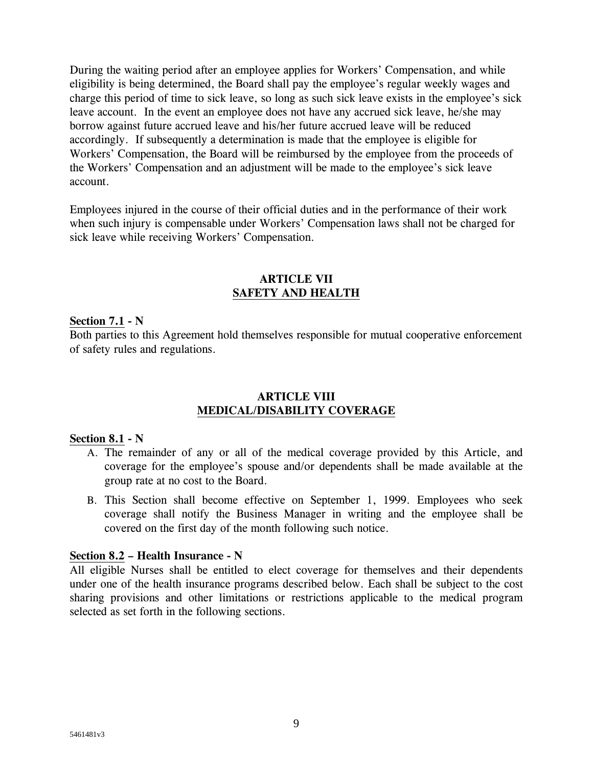During the waiting period after an employee applies for Workers' Compensation, and while eligibility is being determined, the Board shall pay the employee's regular weekly wages and charge this period of time to sick leave, so long as such sick leave exists in the employee's sick leave account. In the event an employee does not have any accrued sick leave, he/she may borrow against future accrued leave and his/her future accrued leave will be reduced accordingly. If subsequently a determination is made that the employee is eligible for Workers' Compensation, the Board will be reimbursed by the employee from the proceeds of the Workers' Compensation and an adjustment will be made to the employee's sick leave account.

Employees injured in the course of their official duties and in the performance of their work when such injury is compensable under Workers' Compensation laws shall not be charged for sick leave while receiving Workers' Compensation.

### **ARTICLE VII SAFETY AND HEALTH**

### **Section 7.1 - N**

Both parties to this Agreement hold themselves responsible for mutual cooperative enforcement of safety rules and regulations.

### **ARTICLE VIII MEDICAL/DISABILITY COVERAGE**

#### **Section 8.1 - N**

- A. The remainder of any or all of the medical coverage provided by this Article, and coverage for the employee's spouse and/or dependents shall be made available at the group rate at no cost to the Board.
- B. This Section shall become effective on September 1, 1999. Employees who seek coverage shall notify the Business Manager in writing and the employee shall be covered on the first day of the month following such notice.

#### **Section 8.2 – Health Insurance - N**

All eligible Nurses shall be entitled to elect coverage for themselves and their dependents under one of the health insurance programs described below. Each shall be subject to the cost sharing provisions and other limitations or restrictions applicable to the medical program selected as set forth in the following sections.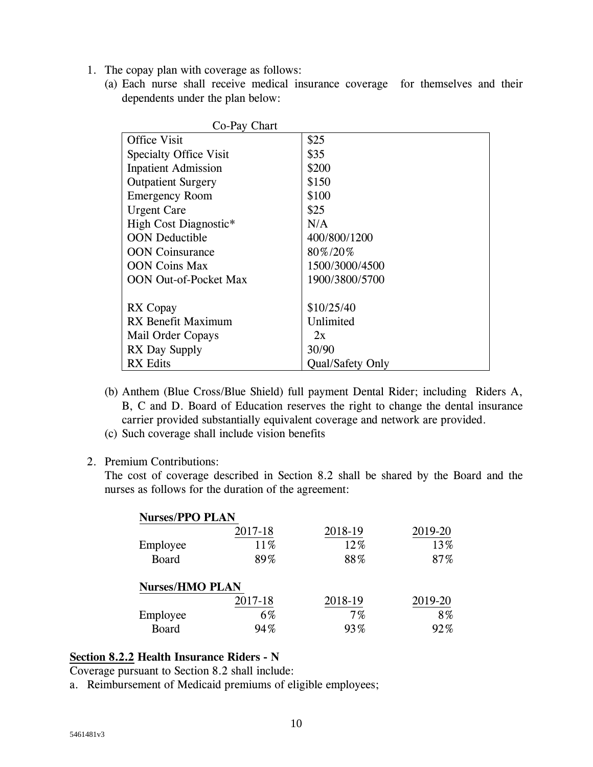- 1. The copay plan with coverage as follows:
	- (a) Each nurse shall receive medical insurance coverage for themselves and their dependents under the plan below:

| Co-Pay Chart                 |                         |  |
|------------------------------|-------------------------|--|
| <b>Office Visit</b>          | \$25                    |  |
| Specialty Office Visit       | \$35                    |  |
| <b>Inpatient Admission</b>   | \$200                   |  |
| <b>Outpatient Surgery</b>    | \$150                   |  |
| <b>Emergency Room</b>        | \$100                   |  |
| Urgent Care                  | \$25                    |  |
| High Cost Diagnostic*        | N/A                     |  |
| <b>OON</b> Deductible        | 400/800/1200            |  |
| <b>OON</b> Coinsurance       | 80%/20%                 |  |
| <b>OON</b> Coins Max         | 1500/3000/4500          |  |
| <b>OON Out-of-Pocket Max</b> | 1900/3800/5700          |  |
|                              |                         |  |
| RX Copay                     | \$10/25/40              |  |
| RX Benefit Maximum           | Unlimited               |  |
| Mail Order Copays            | 2x                      |  |
| RX Day Supply                | 30/90                   |  |
| <b>RX</b> Edits              | <b>Oual/Safety Only</b> |  |

- (b) Anthem (Blue Cross/Blue Shield) full payment Dental Rider; including Riders A, B, C and D. Board of Education reserves the right to change the dental insurance carrier provided substantially equivalent coverage and network are provided.
- (c) Such coverage shall include vision benefits
- 2. Premium Contributions:

The cost of coverage described in Section 8.2 shall be shared by the Board and the nurses as follows for the duration of the agreement:

| <b>Nurses/PPO PLAN</b> |         |         |         |
|------------------------|---------|---------|---------|
|                        | 2017-18 | 2018-19 | 2019-20 |
| Employee               | 11%     | 12%     | 13%     |
| <b>Board</b>           | 89%     | 88%     | 87%     |
| <b>Nurses/HMO PLAN</b> |         |         |         |
|                        | 2017-18 | 2018-19 | 2019-20 |
| Employee               | 6%      | $7\%$   | 8%      |
| <b>Board</b>           | 94%     | 93%     | 92%     |

## **Section 8.2.2 Health Insurance Riders - N**

Coverage pursuant to Section 8.2 shall include:

a. Reimbursement of Medicaid premiums of eligible employees;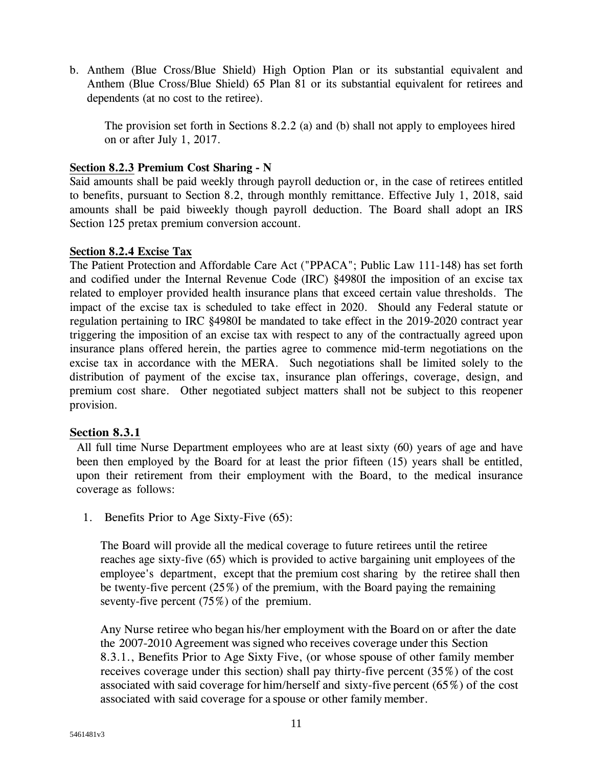b. Anthem (Blue Cross/Blue Shield) High Option Plan or its substantial equivalent and Anthem (Blue Cross/Blue Shield) 65 Plan 81 or its substantial equivalent for retirees and dependents (at no cost to the retiree).

The provision set forth in Sections 8.2.2 (a) and (b) shall not apply to employees hired on or after July 1, 2017.

# **Section 8.2.3 Premium Cost Sharing - N**

Said amounts shall be paid weekly through payroll deduction or, in the case of retirees entitled to benefits, pursuant to Section 8.2, through monthly remittance. Effective July 1, 2018, said amounts shall be paid biweekly though payroll deduction. The Board shall adopt an IRS Section 125 pretax premium conversion account.

## **Section 8.2.4 Excise Tax**

The Patient Protection and Affordable Care Act ("PPACA"; Public Law 111-148) has set forth and codified under the Internal Revenue Code (IRC) §4980I the imposition of an excise tax related to employer provided health insurance plans that exceed certain value thresholds. The impact of the excise tax is scheduled to take effect in 2020. Should any Federal statute or regulation pertaining to IRC §4980I be mandated to take effect in the 2019-2020 contract year triggering the imposition of an excise tax with respect to any of the contractually agreed upon insurance plans offered herein, the parties agree to commence mid-term negotiations on the excise tax in accordance with the MERA. Such negotiations shall be limited solely to the distribution of payment of the excise tax, insurance plan offerings, coverage, design, and premium cost share. Other negotiated subject matters shall not be subject to this reopener provision.

## **Section 8.3.1**

All full time Nurse Department employees who are at least sixty (60) years of age and have been then employed by the Board for at least the prior fifteen (15) years shall be entitled, upon their retirement from their employment with the Board, to the medical insurance coverage as follows:

1. Benefits Prior to Age Sixty-Five (65):

The Board will provide all the medical coverage to future retirees until the retiree reaches age sixty-five (65) which is provided to active bargaining unit employees of the employee's department, except that the premium cost sharing by the retiree shall then be twenty-five percent (25%) of the premium, with the Board paying the remaining seventy-five percent (75%) of the premium.

Any Nurse retiree who began his/her employment with the Board on or after the date the 2007-2010 Agreement was signed who receives coverage under this Section 8.3.1., Benefits Prior to Age Sixty Five, (or whose spouse of other family member receives coverage under this section) shall pay thirty-five percent (35%) of the cost associated with said coverage for him/herself and sixty-five percent (65%) of the cost associated with said coverage for a spouse or other family member.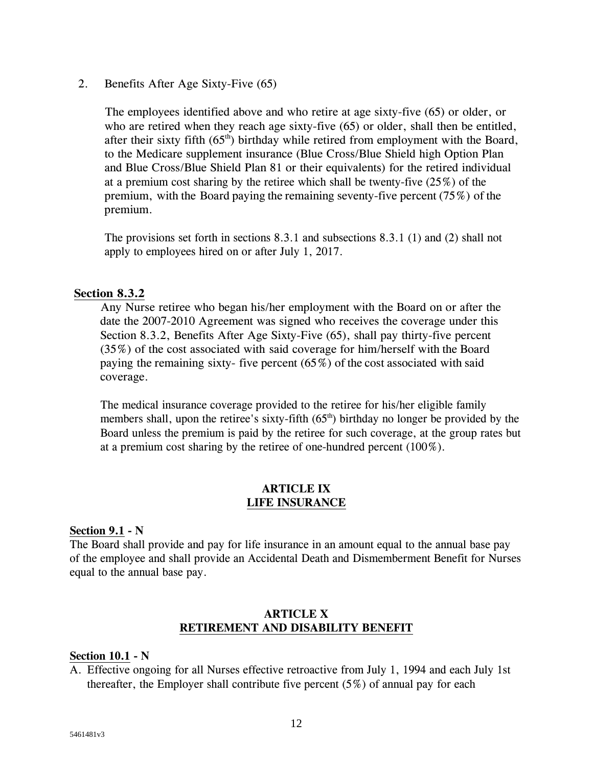2. Benefits After Age Sixty-Five (65)

The employees identified above and who retire at age sixty-five (65) or older, or who are retired when they reach age sixty-five (65) or older, shall then be entitled, after their sixty fifth  $(65<sup>th</sup>)$  birthday while retired from employment with the Board, to the Medicare supplement insurance (Blue Cross/Blue Shield high Option Plan and Blue Cross/Blue Shield Plan 81 or their equivalents) for the retired individual at a premium cost sharing by the retiree which shall be twenty-five (25%) of the premium, with the Board paying the remaining seventy-five percent (75%) of the premium.

The provisions set forth in sections 8.3.1 and subsections 8.3.1 (1) and (2) shall not apply to employees hired on or after July 1, 2017.

### **Section 8.3.2**

Any Nurse retiree who began his/her employment with the Board on or after the date the 2007-2010 Agreement was signed who receives the coverage under this Section 8.3.2, Benefits After Age Sixty-Five (65), shall pay thirty-five percent (35%) of the cost associated with said coverage for him/herself with the Board paying the remaining sixty- five percent  $(65\%)$  of the cost associated with said coverage.

The medical insurance coverage provided to the retiree for his/her eligible family members shall, upon the retiree's sixty-fifth  $(65<sup>th</sup>)$  birthday no longer be provided by the Board unless the premium is paid by the retiree for such coverage, at the group rates but at a premium cost sharing by the retiree of one-hundred percent (100%).

### **ARTICLE IX LIFE INSURANCE**

### **Section 9.1 - N**

The Board shall provide and pay for life insurance in an amount equal to the annual base pay of the employee and shall provide an Accidental Death and Dismemberment Benefit for Nurses equal to the annual base pay.

### **ARTICLE X RETIREMENT AND DISABILITY BENEFIT**

### **Section 10.1 - N**

A. Effective ongoing for all Nurses effective retroactive from July 1, 1994 and each July 1st thereafter, the Employer shall contribute five percent  $(5\%)$  of annual pay for each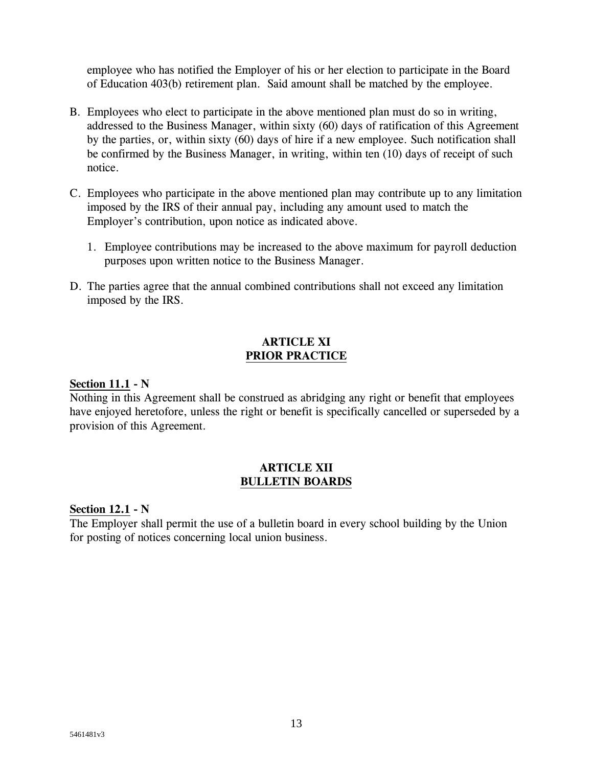employee who has notified the Employer of his or her election to participate in the Board of Education 403(b) retirement plan. Said amount shall be matched by the employee.

- B. Employees who elect to participate in the above mentioned plan must do so in writing, addressed to the Business Manager, within sixty (60) days of ratification of this Agreement by the parties, or, within sixty (60) days of hire if a new employee. Such notification shall be confirmed by the Business Manager, in writing, within ten (10) days of receipt of such notice.
- C. Employees who participate in the above mentioned plan may contribute up to any limitation imposed by the IRS of their annual pay, including any amount used to match the Employer's contribution, upon notice as indicated above.
	- 1. Employee contributions may be increased to the above maximum for payroll deduction purposes upon written notice to the Business Manager.
- D. The parties agree that the annual combined contributions shall not exceed any limitation imposed by the IRS.

## **ARTICLE XI PRIOR PRACTICE**

### **Section 11.1 - N**

Nothing in this Agreement shall be construed as abridging any right or benefit that employees have enjoyed heretofore, unless the right or benefit is specifically cancelled or superseded by a provision of this Agreement.

### **ARTICLE XII BULLETIN BOARDS**

**Section 12.1 - N** 

The Employer shall permit the use of a bulletin board in every school building by the Union for posting of notices concerning local union business.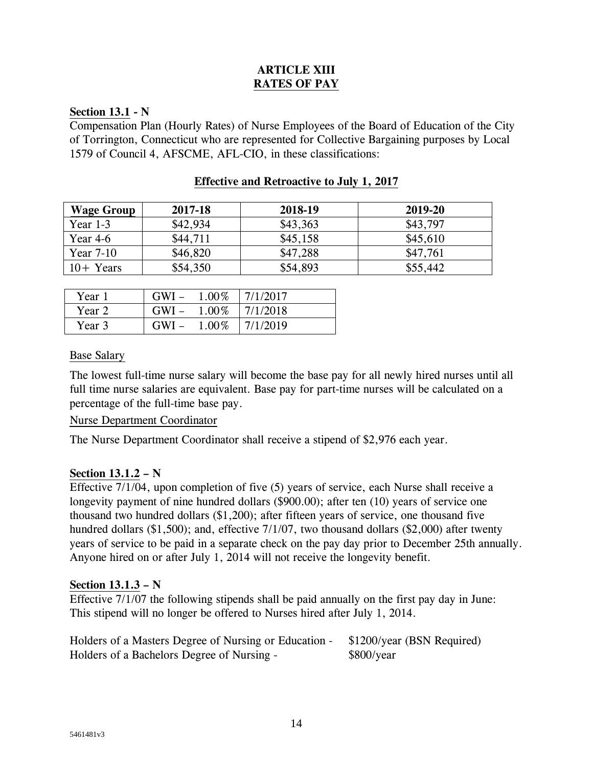# **ARTICLE XIII RATES OF PAY**

### **Section 13.1 - N**

Compensation Plan (Hourly Rates) of Nurse Employees of the Board of Education of the City of Torrington, Connecticut who are represented for Collective Bargaining purposes by Local 1579 of Council 4, AFSCME, AFL-CIO, in these classifications:

| <b>Wage Group</b> | 2017-18  | 2018-19  | 2019-20  |
|-------------------|----------|----------|----------|
| Year $1-3$        | \$42,934 | \$43,363 | \$43,797 |
| Year 4-6          | \$44,711 | \$45,158 | \$45,610 |
| Year $7-10$       | \$46,820 | \$47,288 | \$47,761 |
| $10 +$ Years      | \$54,350 | \$54,893 | \$55,442 |

### **Effective and Retroactive to July 1, 2017**

| Year 1 | $GWI -$ | 1.00% | 7/1/2017 |
|--------|---------|-------|----------|
| Year 2 | $GWI -$ | 1.00% | 7/1/2018 |
| Year 3 | $GWI -$ | 1.00% | 7/1/2019 |

### Base Salary

The lowest full-time nurse salary will become the base pay for all newly hired nurses until all full time nurse salaries are equivalent. Base pay for part-time nurses will be calculated on a percentage of the full-time base pay.

## Nurse Department Coordinator

The Nurse Department Coordinator shall receive a stipend of \$2,976 each year.

## **Section 13.1.2 – N**

Effective 7/1/04, upon completion of five (5) years of service, each Nurse shall receive a longevity payment of nine hundred dollars (\$900.00); after ten (10) years of service one thousand two hundred dollars (\$1,200); after fifteen years of service, one thousand five hundred dollars (\$1,500); and, effective 7/1/07, two thousand dollars (\$2,000) after twenty years of service to be paid in a separate check on the pay day prior to December 25th annually. Anyone hired on or after July 1, 2014 will not receive the longevity benefit.

## **Section 13.1.3 – N**

Effective 7/1/07 the following stipends shall be paid annually on the first pay day in June: This stipend will no longer be offered to Nurses hired after July 1, 2014.

| Holders of a Masters Degree of Nursing or Education - | \$1200/year (BSN Required) |
|-------------------------------------------------------|----------------------------|
| Holders of a Bachelors Degree of Nursing -            | \$800/year                 |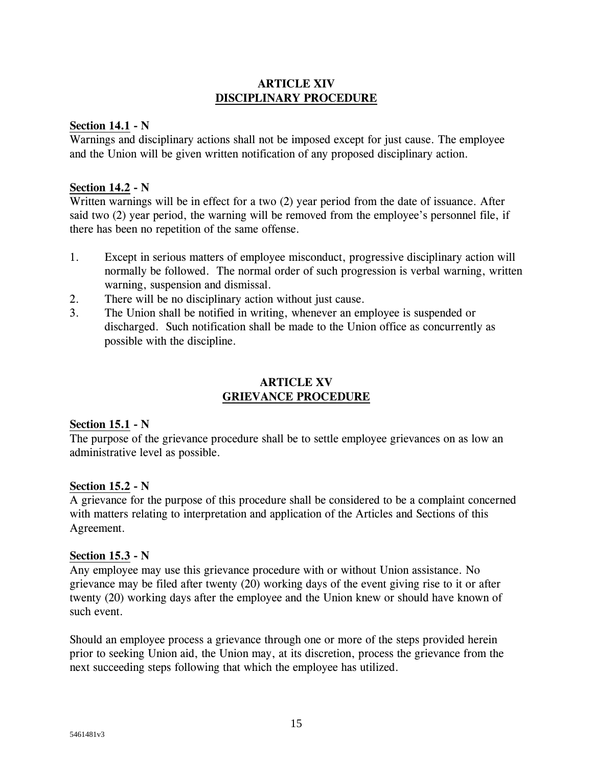## **ARTICLE XIV DISCIPLINARY PROCEDURE**

### **Section 14.1 - N**

Warnings and disciplinary actions shall not be imposed except for just cause. The employee and the Union will be given written notification of any proposed disciplinary action.

### **Section 14.2 - N**

Written warnings will be in effect for a two (2) year period from the date of issuance. After said two (2) year period, the warning will be removed from the employee's personnel file, if there has been no repetition of the same offense.

- 1. Except in serious matters of employee misconduct, progressive disciplinary action will normally be followed. The normal order of such progression is verbal warning, written warning, suspension and dismissal.
- 2. There will be no disciplinary action without just cause.
- 3. The Union shall be notified in writing, whenever an employee is suspended or discharged. Such notification shall be made to the Union office as concurrently as possible with the discipline.

## **ARTICLE XV GRIEVANCE PROCEDURE**

## **Section 15.1 - N**

The purpose of the grievance procedure shall be to settle employee grievances on as low an administrative level as possible.

## **Section 15.2 - N**

A grievance for the purpose of this procedure shall be considered to be a complaint concerned with matters relating to interpretation and application of the Articles and Sections of this Agreement.

### **Section 15.3 - N**

Any employee may use this grievance procedure with or without Union assistance. No grievance may be filed after twenty (20) working days of the event giving rise to it or after twenty (20) working days after the employee and the Union knew or should have known of such event.

Should an employee process a grievance through one or more of the steps provided herein prior to seeking Union aid, the Union may, at its discretion, process the grievance from the next succeeding steps following that which the employee has utilized.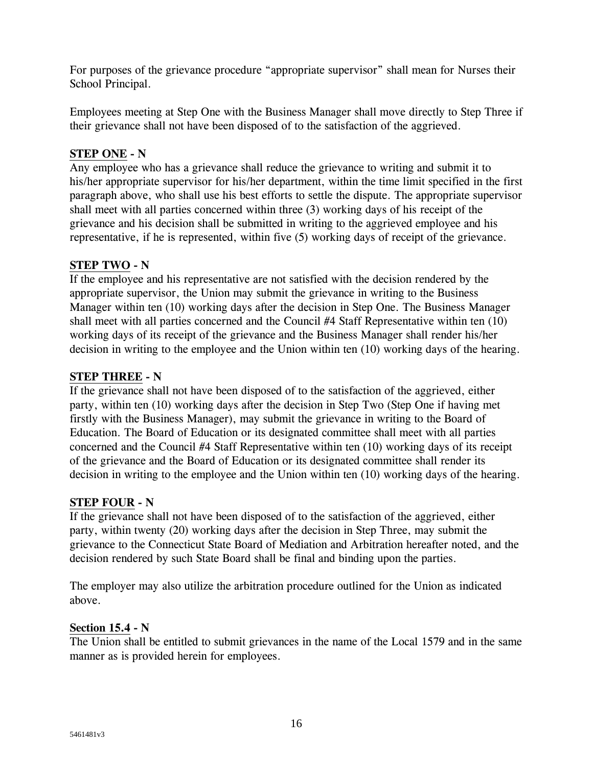For purposes of the grievance procedure "appropriate supervisor" shall mean for Nurses their School Principal.

Employees meeting at Step One with the Business Manager shall move directly to Step Three if their grievance shall not have been disposed of to the satisfaction of the aggrieved.

# **STEP ONE - N**

Any employee who has a grievance shall reduce the grievance to writing and submit it to his/her appropriate supervisor for his/her department, within the time limit specified in the first paragraph above, who shall use his best efforts to settle the dispute. The appropriate supervisor shall meet with all parties concerned within three (3) working days of his receipt of the grievance and his decision shall be submitted in writing to the aggrieved employee and his representative, if he is represented, within five (5) working days of receipt of the grievance.

## **STEP TWO - N**

If the employee and his representative are not satisfied with the decision rendered by the appropriate supervisor, the Union may submit the grievance in writing to the Business Manager within ten (10) working days after the decision in Step One. The Business Manager shall meet with all parties concerned and the Council #4 Staff Representative within ten (10) working days of its receipt of the grievance and the Business Manager shall render his/her decision in writing to the employee and the Union within ten (10) working days of the hearing.

# **STEP THREE - N**

If the grievance shall not have been disposed of to the satisfaction of the aggrieved, either party, within ten (10) working days after the decision in Step Two (Step One if having met firstly with the Business Manager), may submit the grievance in writing to the Board of Education. The Board of Education or its designated committee shall meet with all parties concerned and the Council #4 Staff Representative within ten (10) working days of its receipt of the grievance and the Board of Education or its designated committee shall render its decision in writing to the employee and the Union within ten (10) working days of the hearing.

## **STEP FOUR - N**

If the grievance shall not have been disposed of to the satisfaction of the aggrieved, either party, within twenty (20) working days after the decision in Step Three, may submit the grievance to the Connecticut State Board of Mediation and Arbitration hereafter noted, and the decision rendered by such State Board shall be final and binding upon the parties.

The employer may also utilize the arbitration procedure outlined for the Union as indicated above.

## **Section 15.4 - N**

The Union shall be entitled to submit grievances in the name of the Local 1579 and in the same manner as is provided herein for employees.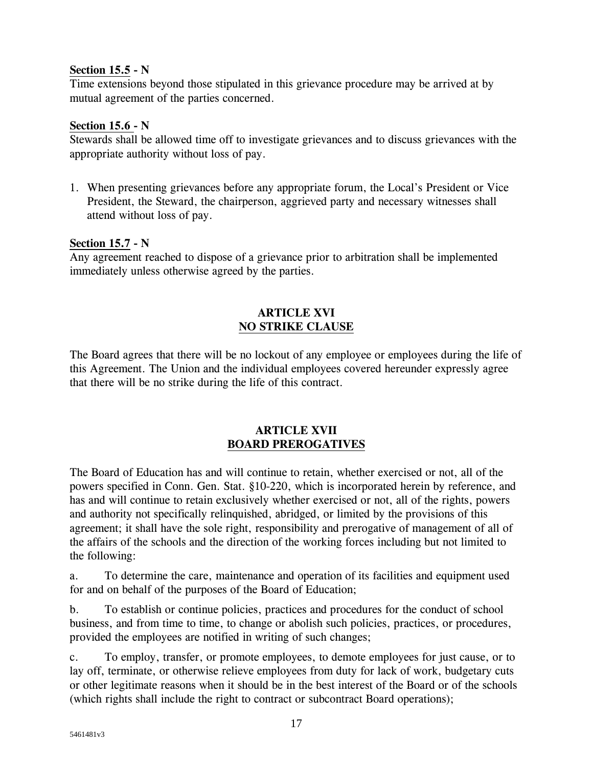# **Section 15.5 - N**

Time extensions beyond those stipulated in this grievance procedure may be arrived at by mutual agreement of the parties concerned.

# **Section 15.6 - N**

Stewards shall be allowed time off to investigate grievances and to discuss grievances with the appropriate authority without loss of pay.

1. When presenting grievances before any appropriate forum, the Local's President or Vice President, the Steward, the chairperson, aggrieved party and necessary witnesses shall attend without loss of pay.

## **Section 15.7 - N**

Any agreement reached to dispose of a grievance prior to arbitration shall be implemented immediately unless otherwise agreed by the parties.

# **ARTICLE XVI NO STRIKE CLAUSE**

The Board agrees that there will be no lockout of any employee or employees during the life of this Agreement. The Union and the individual employees covered hereunder expressly agree that there will be no strike during the life of this contract.

## **ARTICLE XVII BOARD PREROGATIVES**

The Board of Education has and will continue to retain, whether exercised or not, all of the powers specified in Conn. Gen. Stat. §10-220, which is incorporated herein by reference, and has and will continue to retain exclusively whether exercised or not, all of the rights, powers and authority not specifically relinquished, abridged, or limited by the provisions of this agreement; it shall have the sole right, responsibility and prerogative of management of all of the affairs of the schools and the direction of the working forces including but not limited to the following:

a. To determine the care, maintenance and operation of its facilities and equipment used for and on behalf of the purposes of the Board of Education;

b. To establish or continue policies, practices and procedures for the conduct of school business, and from time to time, to change or abolish such policies, practices, or procedures, provided the employees are notified in writing of such changes;

c. To employ, transfer, or promote employees, to demote employees for just cause, or to lay off, terminate, or otherwise relieve employees from duty for lack of work, budgetary cuts or other legitimate reasons when it should be in the best interest of the Board or of the schools (which rights shall include the right to contract or subcontract Board operations);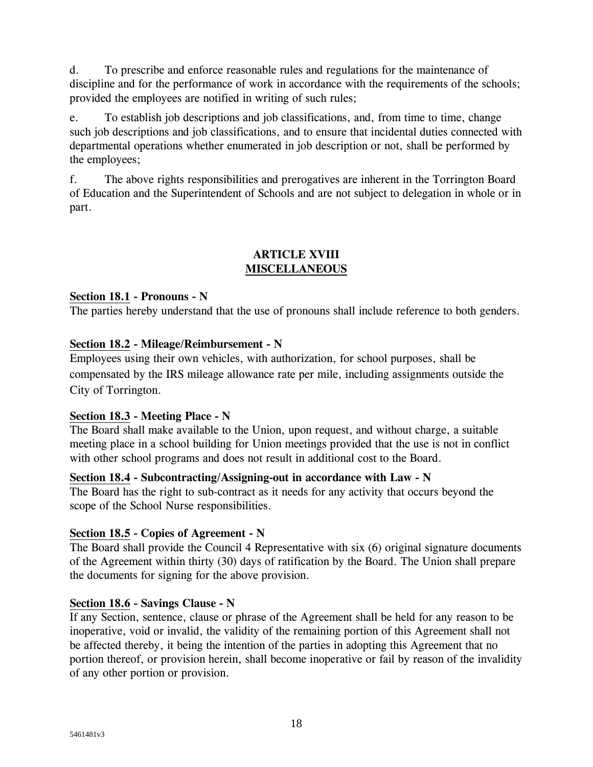d. To prescribe and enforce reasonable rules and regulations for the maintenance of discipline and for the performance of work in accordance with the requirements of the schools; provided the employees are notified in writing of such rules;

e. To establish job descriptions and job classifications, and, from time to time, change such job descriptions and job classifications, and to ensure that incidental duties connected with departmental operations whether enumerated in job description or not, shall be performed by the employees;

f. The above rights responsibilities and prerogatives are inherent in the Torrington Board of Education and the Superintendent of Schools and are not subject to delegation in whole or in part.

## **ARTICLE XVIII MISCELLANEOUS**

# **Section 18.1 - Pronouns - N**

The parties hereby understand that the use of pronouns shall include reference to both genders.

# **Section 18.2 - Mileage/Reimbursement - N**

Employees using their own vehicles, with authorization, for school purposes, shall be compensated by the IRS mileage allowance rate per mile, including assignments outside the City of Torrington.

## **Section 18.3 - Meeting Place - N**

The Board shall make available to the Union, upon request, and without charge, a suitable meeting place in a school building for Union meetings provided that the use is not in conflict with other school programs and does not result in additional cost to the Board.

## **Section 18.4 - Subcontracting/Assigning-out in accordance with Law - N**

The Board has the right to sub-contract as it needs for any activity that occurs beyond the scope of the School Nurse responsibilities.

# **Section 18.5 - Copies of Agreement - N**

The Board shall provide the Council 4 Representative with six (6) original signature documents of the Agreement within thirty (30) days of ratification by the Board. The Union shall prepare the documents for signing for the above provision.

## **Section 18.6 - Savings Clause - N**

If any Section, sentence, clause or phrase of the Agreement shall be held for any reason to be inoperative, void or invalid, the validity of the remaining portion of this Agreement shall not be affected thereby, it being the intention of the parties in adopting this Agreement that no portion thereof, or provision herein, shall become inoperative or fail by reason of the invalidity of any other portion or provision.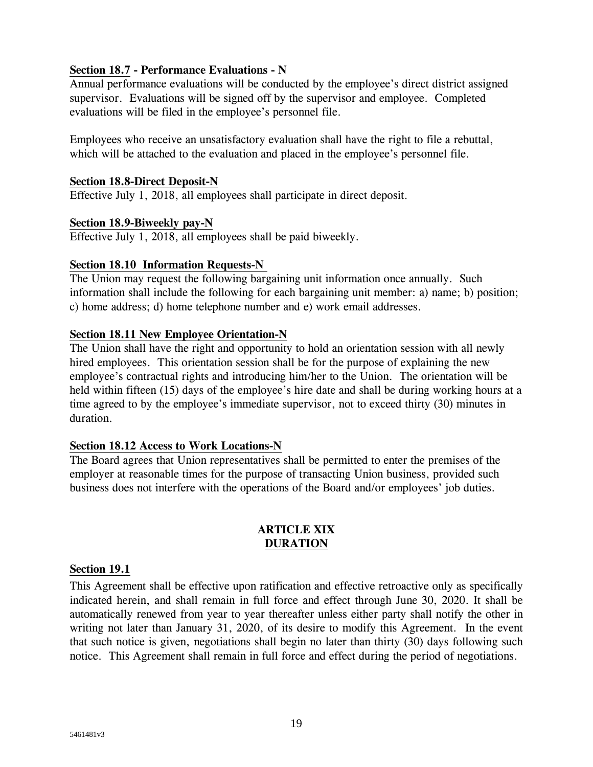# **Section 18.7 - Performance Evaluations - N**

Annual performance evaluations will be conducted by the employee's direct district assigned supervisor. Evaluations will be signed off by the supervisor and employee. Completed evaluations will be filed in the employee's personnel file.

Employees who receive an unsatisfactory evaluation shall have the right to file a rebuttal, which will be attached to the evaluation and placed in the employee's personnel file.

## **Section 18.8-Direct Deposit-N**

Effective July 1, 2018, all employees shall participate in direct deposit.

## **Section 18.9-Biweekly pay-N**

Effective July 1, 2018, all employees shall be paid biweekly.

# **Section 18.10 Information Requests-N**

The Union may request the following bargaining unit information once annually. Such information shall include the following for each bargaining unit member: a) name; b) position; c) home address; d) home telephone number and e) work email addresses.

# **Section 18.11 New Employee Orientation-N**

The Union shall have the right and opportunity to hold an orientation session with all newly hired employees. This orientation session shall be for the purpose of explaining the new employee's contractual rights and introducing him/her to the Union. The orientation will be held within fifteen (15) days of the employee's hire date and shall be during working hours at a time agreed to by the employee's immediate supervisor, not to exceed thirty (30) minutes in duration.

## **Section 18.12 Access to Work Locations-N**

The Board agrees that Union representatives shall be permitted to enter the premises of the employer at reasonable times for the purpose of transacting Union business, provided such business does not interfere with the operations of the Board and/or employees' job duties.

## **ARTICLE XIX DURATION**

## **Section 19.1**

This Agreement shall be effective upon ratification and effective retroactive only as specifically indicated herein, and shall remain in full force and effect through June 30, 2020. It shall be automatically renewed from year to year thereafter unless either party shall notify the other in writing not later than January 31, 2020, of its desire to modify this Agreement. In the event that such notice is given, negotiations shall begin no later than thirty (30) days following such notice. This Agreement shall remain in full force and effect during the period of negotiations.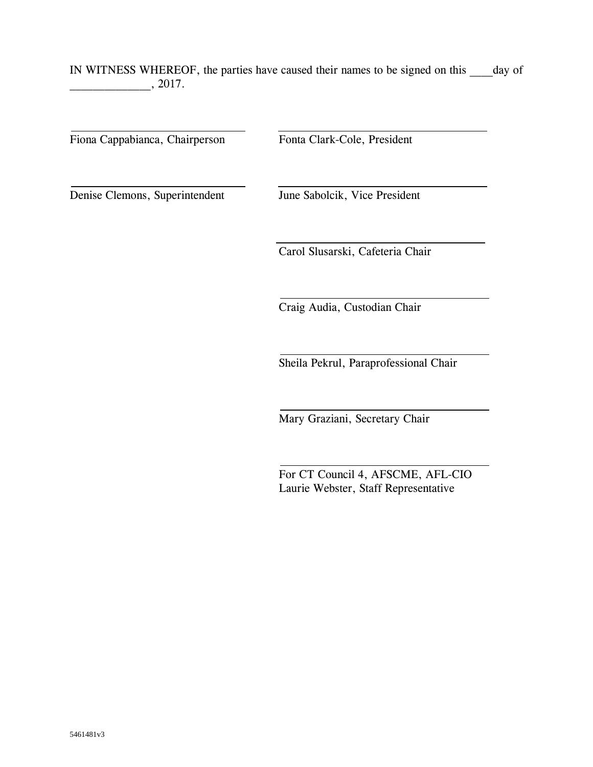IN WITNESS WHEREOF, the parties have caused their names to be signed on this day of  $, 2017.$ 

Fiona Cappabianca, Chairperson Fonta Clark-Cole, President

Denise Clemons, Superintendent June Sabolcik, Vice President

Carol Slusarski, Cafeteria Chair

Craig Audia, Custodian Chair

Sheila Pekrul, Paraprofessional Chair

Mary Graziani, Secretary Chair

For CT Council 4, AFSCME, AFL-CIO Laurie Webster, Staff Representative